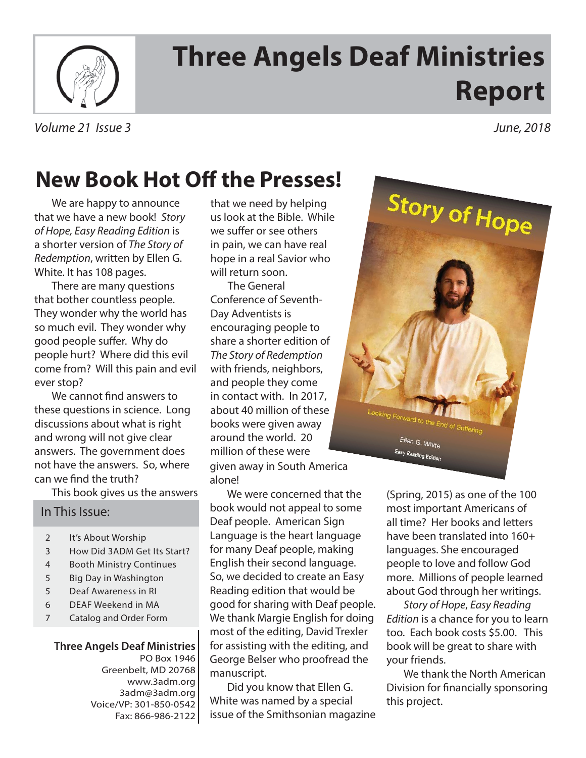

# **Three Angels Deaf Ministries Report**

#### Volume 21 Issue 3 June, 2018

## **New Book Hot Off the Presses!**

We are happy to announce that we have a new book! Story of Hope, Easy Reading Edition is a shorter version of The Story of Redemption, written by Ellen G. White. It has 108 pages.

There are many questions that bother countless people. They wonder why the world has so much evil. They wonder why good people suffer. Why do people hurt? Where did this evil come from? Will this pain and evil ever stop?

We cannot find answers to these questions in science. Long discussions about what is right and wrong will not give clear answers. The government does not have the answers. So, where can we find the truth?

This book gives us the answers

#### In This Issue:

- 2 It's About Worship
- 3 How Did 3ADM Get Its Start?
- 4 Booth Ministry Continues
- 5 Big Day in Washington
- 5 Deaf Awareness in RI
- 6 DEAF Weekend in MA
- 7 Catalog and Order Form

#### **Three Angels Deaf Ministries** PO Box 1946 Greenbelt, MD 20768 www.3adm.org 3adm@3adm.org

Voice/VP: 301-850-0542 Fax: 866-986-2122 that we need by helping us look at the Bible. While we suffer or see others in pain, we can have real hope in a real Savior who will return soon.

The General Conference of Seventh-Day Adventists is encouraging people to share a shorter edition of The Story of Redemption with friends, neighbors, and people they come in contact with. In 2017, about 40 million of these books were given away around the world. 20 million of these were given away in South America

alone!

We were concerned that the book would not appeal to some Deaf people. American Sign Language is the heart language for many Deaf people, making English their second language. So, we decided to create an Easy Reading edition that would be good for sharing with Deaf people. We thank Margie English for doing most of the editing, David Trexler for assisting with the editing, and George Belser who proofread the manuscript.

Did you know that Ellen G. White was named by a special issue of the Smithsonian magazine



(Spring, 2015) as one of the 100 most important Americans of all time? Her books and letters have been translated into 160+ languages. She encouraged people to love and follow God more. Millions of people learned about God through her writings.

Story of Hope, Easy Reading Edition is a chance for you to learn too. Each book costs \$5.00. This book will be great to share with your friends.

We thank the North American Division for financially sponsoring this project.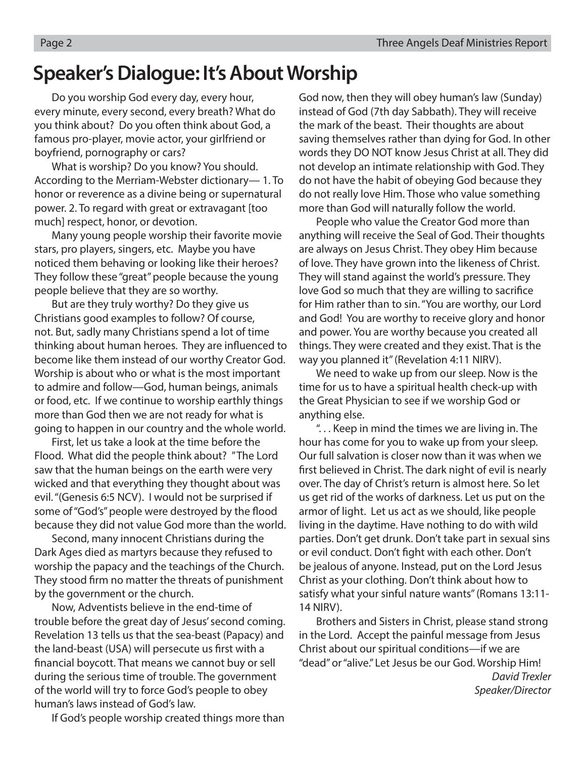### **Speaker's Dialogue: It's About Worship**

 Do you worship God every day, every hour, every minute, every second, every breath? What do you think about? Do you often think about God, a famous pro-player, movie actor, your girlfriend or boyfriend, pornography or cars?

 What is worship? Do you know? You should. According to the Merriam-Webster dictionary— 1. To honor or reverence as a divine being or supernatural power. 2. To regard with great or extravagant [too much] respect, honor, or devotion.

 Many young people worship their favorite movie stars, pro players, singers, etc. Maybe you have noticed them behaving or looking like their heroes? They follow these "great" people because the young people believe that they are so worthy.

 But are they truly worthy? Do they give us Christians good examples to follow? Of course, not. But, sadly many Christians spend a lot of time thinking about human heroes. They are influenced to become like them instead of our worthy Creator God. Worship is about who or what is the most important to admire and follow—God, human beings, animals or food, etc. If we continue to worship earthly things more than God then we are not ready for what is going to happen in our country and the whole world.

 First, let us take a look at the time before the Flood. What did the people think about? " The Lord saw that the human beings on the earth were very wicked and that everything they thought about was evil. "(Genesis 6:5 NCV). I would not be surprised if some of "God's" people were destroyed by the flood because they did not value God more than the world.

 Second, many innocent Christians during the Dark Ages died as martyrs because they refused to worship the papacy and the teachings of the Church. They stood firm no matter the threats of punishment by the government or the church.

 Now, Adventists believe in the end-time of trouble before the great day of Jesus' second coming. Revelation 13 tells us that the sea-beast (Papacy) and the land-beast (USA) will persecute us first with a financial boycott. That means we cannot buy or sell during the serious time of trouble. The government of the world will try to force God's people to obey human's laws instead of God's law.

If God's people worship created things more than

God now, then they will obey human's law (Sunday) instead of God (7th day Sabbath). They will receive the mark of the beast. Their thoughts are about saving themselves rather than dying for God. In other words they DO NOT know Jesus Christ at all. They did not develop an intimate relationship with God. They do not have the habit of obeying God because they do not really love Him. Those who value something more than God will naturally follow the world.

 People who value the Creator God more than anything will receive the Seal of God. Their thoughts are always on Jesus Christ. They obey Him because of love. They have grown into the likeness of Christ. They will stand against the world's pressure. They love God so much that they are willing to sacrifice for Him rather than to sin. "You are worthy, our Lord and God! You are worthy to receive glory and honor and power. You are worthy because you created all things. They were created and they exist. That is the way you planned it" (Revelation 4:11 NIRV).

 We need to wake up from our sleep. Now is the time for us to have a spiritual health check-up with the Great Physician to see if we worship God or anything else.

 ". . . Keep in mind the times we are living in. The hour has come for you to wake up from your sleep. Our full salvation is closer now than it was when we first believed in Christ. The dark night of evil is nearly over. The day of Christ's return is almost here. So let us get rid of the works of darkness. Let us put on the armor of light. Let us act as we should, like people living in the daytime. Have nothing to do with wild parties. Don't get drunk. Don't take part in sexual sins or evil conduct. Don't fight with each other. Don't be jealous of anyone. Instead, put on the Lord Jesus Christ as your clothing. Don't think about how to satisfy what your sinful nature wants" (Romans 13:11- 14 NIRV).

 Brothers and Sisters in Christ, please stand strong in the Lord. Accept the painful message from Jesus Christ about our spiritual conditions—if we are "dead" or "alive." Let Jesus be our God. Worship Him! David Trexler Speaker/Director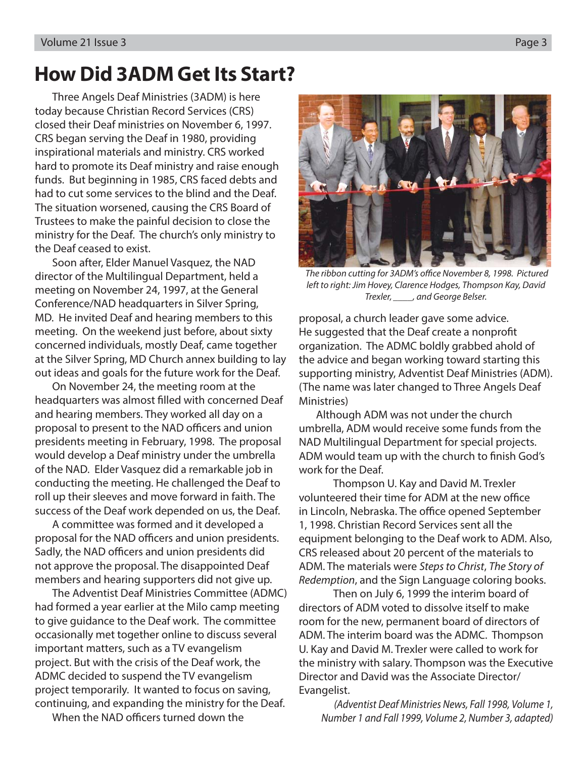### **How Did 3ADM Get Its Start?**

Three Angels Deaf Ministries (3ADM) is here today because Christian Record Services (CRS) closed their Deaf ministries on November 6, 1997. CRS began serving the Deaf in 1980, providing inspirational materials and ministry. CRS worked hard to promote its Deaf ministry and raise enough funds. But beginning in 1985, CRS faced debts and had to cut some services to the blind and the Deaf. The situation worsened, causing the CRS Board of Trustees to make the painful decision to close the ministry for the Deaf. The church's only ministry to the Deaf ceased to exist.

Soon after, Elder Manuel Vasquez, the NAD director of the Multilingual Department, held a meeting on November 24, 1997, at the General Conference/NAD headquarters in Silver Spring, MD. He invited Deaf and hearing members to this meeting. On the weekend just before, about sixty concerned individuals, mostly Deaf, came together at the Silver Spring, MD Church annex building to lay out ideas and goals for the future work for the Deaf.

On November 24, the meeting room at the headquarters was almost filled with concerned Deaf and hearing members. They worked all day on a proposal to present to the NAD officers and union presidents meeting in February, 1998. The proposal would develop a Deaf ministry under the umbrella of the NAD. Elder Vasquez did a remarkable job in conducting the meeting. He challenged the Deaf to roll up their sleeves and move forward in faith. The success of the Deaf work depended on us, the Deaf.

A committee was formed and it developed a proposal for the NAD officers and union presidents. Sadly, the NAD officers and union presidents did not approve the proposal. The disappointed Deaf members and hearing supporters did not give up.

The Adventist Deaf Ministries Committee (ADMC) had formed a year earlier at the Milo camp meeting to give guidance to the Deaf work. The committee occasionally met together online to discuss several important matters, such as a TV evangelism project. But with the crisis of the Deaf work, the ADMC decided to suspend the TV evangelism project temporarily. It wanted to focus on saving, continuing, and expanding the ministry for the Deaf.

When the NAD officers turned down the

The ribbon cutting for 3ADM's office November 8, 1998. Pictured left to right: Jim Hovey, Clarence Hodges, Thompson Kay, David Trexler, \_\_\_\_, and George Belser.

proposal, a church leader gave some advice. He suggested that the Deaf create a nonprofit organization. The ADMC boldly grabbed ahold of the advice and began working toward starting this supporting ministry, Adventist Deaf Ministries (ADM). (The name was later changed to Three Angels Deaf Ministries)

Although ADM was not under the church umbrella, ADM would receive some funds from the NAD Multilingual Department for special projects. ADM would team up with the church to finish God's work for the Deaf.

 Thompson U. Kay and David M. Trexler volunteered their time for ADM at the new office in Lincoln, Nebraska. The office opened September 1, 1998. Christian Record Services sent all the equipment belonging to the Deaf work to ADM. Also, CRS released about 20 percent of the materials to ADM. The materials were Steps to Christ, The Story of Redemption, and the Sign Language coloring books.

 Then on July 6, 1999 the interim board of directors of ADM voted to dissolve itself to make room for the new, permanent board of directors of ADM. The interim board was the ADMC. Thompson U. Kay and David M. Trexler were called to work for the ministry with salary. Thompson was the Executive Director and David was the Associate Director/ Evangelist.

(Adventist Deaf Ministries News, Fall 1998, Volume 1, Number 1 and Fall 1999, Volume 2, Number 3, adapted)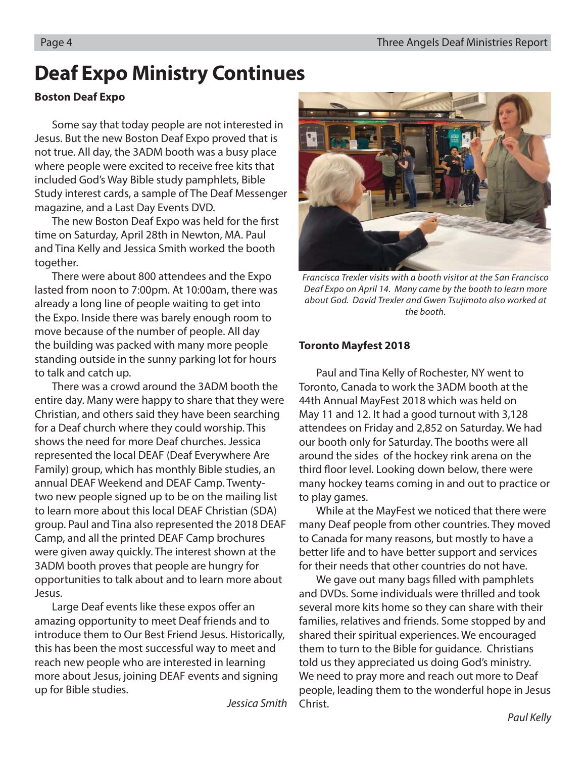### **Deaf Expo Ministry Continues**

#### **Boston Deaf Expo**

Some say that today people are not interested in Jesus. But the new Boston Deaf Expo proved that is not true. All day, the 3ADM booth was a busy place where people were excited to receive free kits that included God's Way Bible study pamphlets, Bible Study interest cards, a sample of The Deaf Messenger magazine, and a Last Day Events DVD.

The new Boston Deaf Expo was held for the first time on Saturday, April 28th in Newton, MA. Paul and Tina Kelly and Jessica Smith worked the booth together.

There were about 800 attendees and the Expo lasted from noon to 7:00pm. At 10:00am, there was already a long line of people waiting to get into the Expo. Inside there was barely enough room to move because of the number of people. All day the building was packed with many more people standing outside in the sunny parking lot for hours to talk and catch up.

There was a crowd around the 3ADM booth the entire day. Many were happy to share that they were Christian, and others said they have been searching for a Deaf church where they could worship. This shows the need for more Deaf churches. Jessica represented the local DEAF (Deaf Everywhere Are Family) group, which has monthly Bible studies, an annual DEAF Weekend and DEAF Camp. Twentytwo new people signed up to be on the mailing list to learn more about this local DEAF Christian (SDA) group. Paul and Tina also represented the 2018 DEAF Camp, and all the printed DEAF Camp brochures were given away quickly. The interest shown at the 3ADM booth proves that people are hungry for opportunities to talk about and to learn more about Jesus.

Large Deaf events like these expos offer an amazing opportunity to meet Deaf friends and to introduce them to Our Best Friend Jesus. Historically, this has been the most successful way to meet and reach new people who are interested in learning more about Jesus, joining DEAF events and signing up for Bible studies.

Jessica Smith



Francisca Trexler visits with a booth visitor at the San Francisco Deaf Expo on April 14. Many came by the booth to learn more about God. David Trexler and Gwen Tsujimoto also worked at the booth.

#### **Toronto Mayfest 2018**

Paul and Tina Kelly of Rochester, NY went to Toronto, Canada to work the 3ADM booth at the 44th Annual MayFest 2018 which was held on May 11 and 12. It had a good turnout with 3,128 attendees on Friday and 2,852 on Saturday. We had our booth only for Saturday. The booths were all around the sides of the hockey rink arena on the third floor level. Looking down below, there were many hockey teams coming in and out to practice or to play games.

While at the MayFest we noticed that there were many Deaf people from other countries. They moved to Canada for many reasons, but mostly to have a better life and to have better support and services for their needs that other countries do not have.

We gave out many bags filled with pamphlets and DVDs. Some individuals were thrilled and took several more kits home so they can share with their families, relatives and friends. Some stopped by and shared their spiritual experiences. We encouraged them to turn to the Bible for guidance. Christians told us they appreciated us doing God's ministry. We need to pray more and reach out more to Deaf people, leading them to the wonderful hope in Jesus Christ.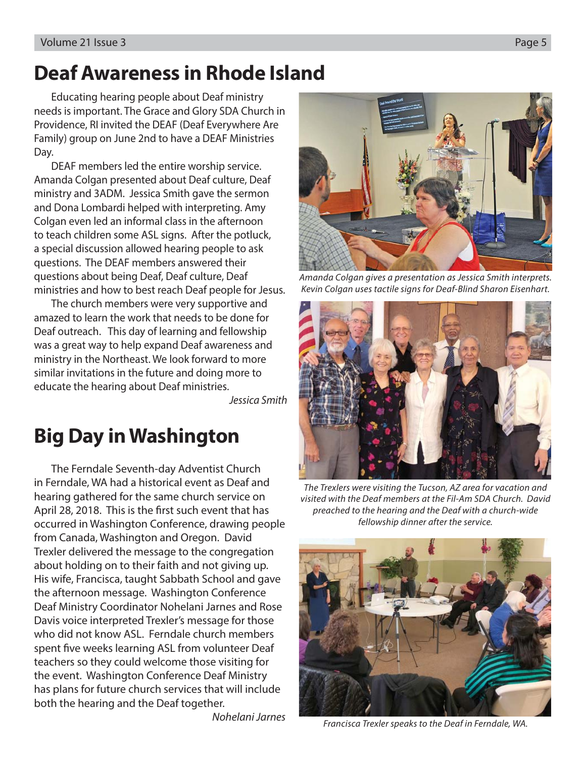### **Deaf Awareness in Rhode Island**

Educating hearing people about Deaf ministry needs is important. The Grace and Glory SDA Church in Providence, RI invited the DEAF (Deaf Everywhere Are Family) group on June 2nd to have a DEAF Ministries Day.

DEAF members led the entire worship service. Amanda Colgan presented about Deaf culture, Deaf ministry and 3ADM. Jessica Smith gave the sermon and Dona Lombardi helped with interpreting. Amy Colgan even led an informal class in the afternoon to teach children some ASL signs. After the potluck, a special discussion allowed hearing people to ask questions. The DEAF members answered their questions about being Deaf, Deaf culture, Deaf ministries and how to best reach Deaf people for Jesus.

The church members were very supportive and amazed to learn the work that needs to be done for Deaf outreach. This day of learning and fellowship was a great way to help expand Deaf awareness and ministry in the Northeast. We look forward to more similar invitations in the future and doing more to educate the hearing about Deaf ministries.

Jessica Smith

### **Big Day in Washington**

The Ferndale Seventh-day Adventist Church in Ferndale, WA had a historical event as Deaf and hearing gathered for the same church service on April 28, 2018. This is the first such event that has occurred in Washington Conference, drawing people from Canada, Washington and Oregon. David Trexler delivered the message to the congregation about holding on to their faith and not giving up. His wife, Francisca, taught Sabbath School and gave the afternoon message. Washington Conference Deaf Ministry Coordinator Nohelani Jarnes and Rose Davis voice interpreted Trexler's message for those who did not know ASL. Ferndale church members spent five weeks learning ASL from volunteer Deaf teachers so they could welcome those visiting for the event. Washington Conference Deaf Ministry has plans for future church services that will include both the hearing and the Deaf together.

Nohelani Jarnes



Amanda Colgan gives a presentation as Jessica Smith interprets. Kevin Colgan uses tactile signs for Deaf-Blind Sharon Eisenhart.



The Trexlers were visiting the Tucson, AZ area for vacation and visited with the Deaf members at the Fil-Am SDA Church. David preached to the hearing and the Deaf with a church-wide fellowship dinner after the service.



Francisca Trexler speaks to the Deaf in Ferndale, WA.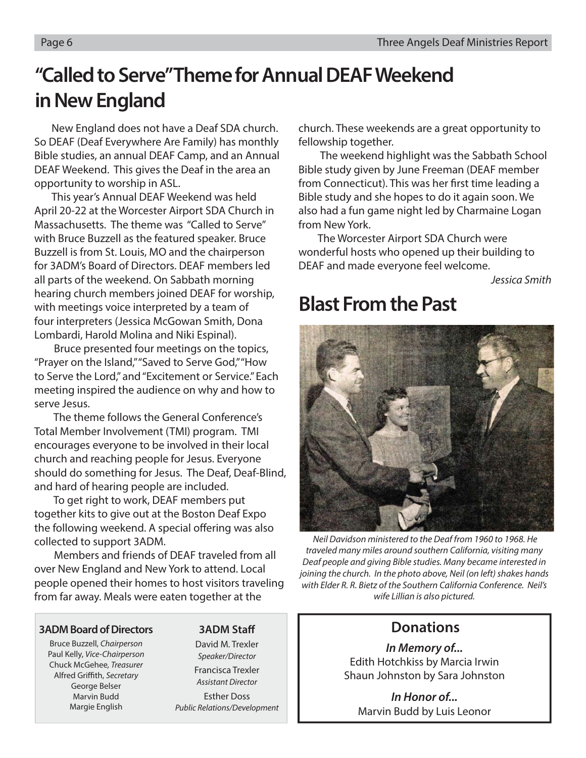### **"Called to Serve" Theme for Annual DEAF Weekend in New England**

New England does not have a Deaf SDA church. So DEAF (Deaf Everywhere Are Family) has monthly Bible studies, an annual DEAF Camp, and an Annual DEAF Weekend. This gives the Deaf in the area an opportunity to worship in ASL.

This year's Annual DEAF Weekend was held April 20-22 at the Worcester Airport SDA Church in Massachusetts. The theme was "Called to Serve" with Bruce Buzzell as the featured speaker. Bruce Buzzell is from St. Louis, MO and the chairperson for 3ADM's Board of Directors. DEAF members led all parts of the weekend. On Sabbath morning hearing church members joined DEAF for worship, with meetings voice interpreted by a team of four interpreters (Jessica McGowan Smith, Dona Lombardi, Harold Molina and Niki Espinal).

 Bruce presented four meetings on the topics, "Prayer on the Island," "Saved to Serve God," "How to Serve the Lord," and "Excitement or Service." Each meeting inspired the audience on why and how to serve Jesus.

 The theme follows the General Conference's Total Member Involvement (TMI) program. TMI encourages everyone to be involved in their local church and reaching people for Jesus. Everyone should do something for Jesus. The Deaf, Deaf-Blind, and hard of hearing people are included.

 To get right to work, DEAF members put together kits to give out at the Boston Deaf Expo the following weekend. A special offering was also collected to support 3ADM.

 Members and friends of DEAF traveled from all over New England and New York to attend. Local people opened their homes to host visitors traveling from far away. Meals were eaten together at the

#### **3ADM Board of Directors**

Bruce Buzzell, Chairperson Paul Kelly, Vice-Chairperson Chuck McGehee, Treasurer Alfred Griffith, Secretary George Belser Marvin Budd Margie English

#### **3ADM Staff**

David M. Trexler Speaker/Director Francisca Trexler Assistant Director Esther Doss Public Relations/Development church. These weekends are a great opportunity to fellowship together.

 The weekend highlight was the Sabbath School Bible study given by June Freeman (DEAF member from Connecticut). This was her first time leading a Bible study and she hopes to do it again soon. We also had a fun game night led by Charmaine Logan from New York.

 The Worcester Airport SDA Church were wonderful hosts who opened up their building to DEAF and made everyone feel welcome.

Jessica Smith

### **Blast From the Past**



 Neil Davidson ministered to the Deaf from 1960 to 1968. He traveled many miles around southern California, visiting many Deaf people and giving Bible studies. Many became interested in joining the church. In the photo above, Neil (on left) shakes hands with Elder R. R. Bietz of the Southern California Conference. Neil's wife Lillian is also pictured.

### **Donations**

*In Memory of...* Edith Hotchkiss by Marcia Irwin Shaun Johnston by Sara Johnston

*In Honor of...* Marvin Budd by Luis Leonor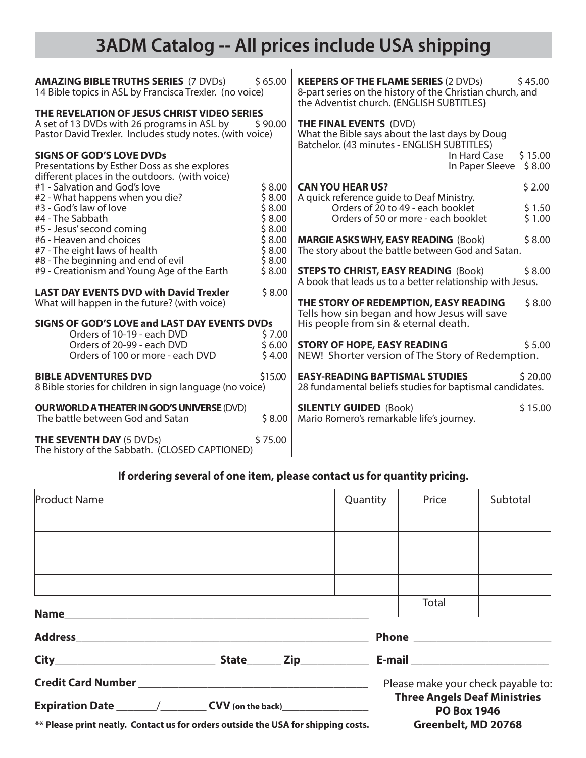### **3ADM Catalog -- All prices include USA shipping**

| <b>AMAZING BIBLE TRUTHS SERIES (7 DVDs)</b><br>14 Bible topics in ASL by Francisca Trexler. (no voice)                                                 | \$65.00          | <b>KEEPERS OF THE FLAME SERIES (2 DVDs)</b><br>8-part series on the history of the Christian church, and<br>the Adventist church. (ENGLISH SUBTITLES) | \$45.00           |
|--------------------------------------------------------------------------------------------------------------------------------------------------------|------------------|-------------------------------------------------------------------------------------------------------------------------------------------------------|-------------------|
| THE REVELATION OF JESUS CHRIST VIDEO SERIES<br>A set of 13 DVDs with 26 programs in ASL by<br>Pastor David Trexler. Includes study notes. (with voice) | \$90.00          | <b>THE FINAL EVENTS (DVD)</b><br>What the Bible says about the last days by Doug<br>Batchelor. (43 minutes - ENGLISH SUBTITLES)                       |                   |
| <b>SIGNS OF GOD'S LOVE DVDs</b><br>Presentations by Esther Doss as she explores<br>different places in the outdoors. (with voice)                      |                  | In Hard Case<br>In Paper Sleeve                                                                                                                       | \$15.00<br>\$8.00 |
| #1 - Salvation and God's love<br>#2 - What happens when you die?                                                                                       | \$8.00<br>\$8.00 | <b>CAN YOU HEAR US?</b><br>A quick reference quide to Deaf Ministry.                                                                                  | \$2.00            |
| #3 - God's law of love                                                                                                                                 | \$8.00           | Orders of 20 to 49 - each booklet                                                                                                                     | \$1.50            |
| #4 - The Sabbath<br>#5 - Jesus' second coming                                                                                                          | \$8.00<br>\$8.00 | Orders of 50 or more - each booklet                                                                                                                   | \$1.00            |
| #6 - Heaven and choices<br>#7 - The eight laws of health                                                                                               | \$8.00<br>\$8.00 | <b>MARGIE ASKS WHY, EASY READING (Book)</b><br>The story about the battle between God and Satan.                                                      | \$8.00            |
| #8 - The beginning and end of evil<br>#9 - Creationism and Young Age of the Earth                                                                      | \$8.00<br>\$8.00 | <b>STEPS TO CHRIST, EASY READING (Book)</b><br>A book that leads us to a better relationship with Jesus.                                              | \$8.00            |
| <b>LAST DAY EVENTS DVD with David Trexler</b><br>What will happen in the future? (with voice)                                                          | \$8.00           | THE STORY OF REDEMPTION, EASY READING                                                                                                                 | \$8.00            |
| <b>SIGNS OF GOD'S LOVE and LAST DAY EVENTS DVDs</b><br>Orders of 10-19 - each DVD                                                                      | \$7.00           | Tells how sin began and how Jesus will save<br>His people from sin & eternal death.                                                                   |                   |
| Orders of 20-99 - each DVD<br>Orders of 100 or more - each DVD                                                                                         | \$6.00<br>\$4.00 | <b>STORY OF HOPE, EASY READING</b><br>NEW! Shorter version of The Story of Redemption.                                                                | \$5.00            |
| <b>BIBLE ADVENTURES DVD</b><br>8 Bible stories for children in sign language (no voice)                                                                | \$15.00          | <b>EASY-READING BAPTISMAL STUDIES</b><br>28 fundamental beliefs studies for baptismal candidates.                                                     | \$20.00           |
| <b>OUR WORLD A THEATER IN GOD'S UNIVERSE (DVD)</b><br>The battle between God and Satan                                                                 | \$8.00           | <b>SILENTLY GUIDED (Book)</b><br>Mario Romero's remarkable life's journey.                                                                            | \$15.00           |
| <b>THE SEVENTH DAY (5 DVDs)</b><br>The history of the Sabbath. (CLOSED CAPTIONED)                                                                      | \$75.00          |                                                                                                                                                       |                   |

#### **If ordering several of one item, please contact us for quantity pricing.**

| <b>Product Name</b>                                                                                          |  |  | Quantity |                                                           | Price | Subtotal                           |  |
|--------------------------------------------------------------------------------------------------------------|--|--|----------|-----------------------------------------------------------|-------|------------------------------------|--|
|                                                                                                              |  |  |          |                                                           |       |                                    |  |
|                                                                                                              |  |  |          |                                                           |       |                                    |  |
|                                                                                                              |  |  |          |                                                           |       |                                    |  |
|                                                                                                              |  |  |          |                                                           |       |                                    |  |
|                                                                                                              |  |  |          |                                                           | Total |                                    |  |
|                                                                                                              |  |  |          |                                                           |       |                                    |  |
|                                                                                                              |  |  |          |                                                           |       |                                    |  |
|                                                                                                              |  |  |          |                                                           |       | Please make your check payable to: |  |
|                                                                                                              |  |  |          | <b>Three Angels Deaf Ministries</b><br><b>PO Box 1946</b> |       |                                    |  |
| ** Please print neatly. Contact us for orders <b>outside</b> the USA for shipping costs. Greenbelt, MD 20768 |  |  |          |                                                           |       |                                    |  |